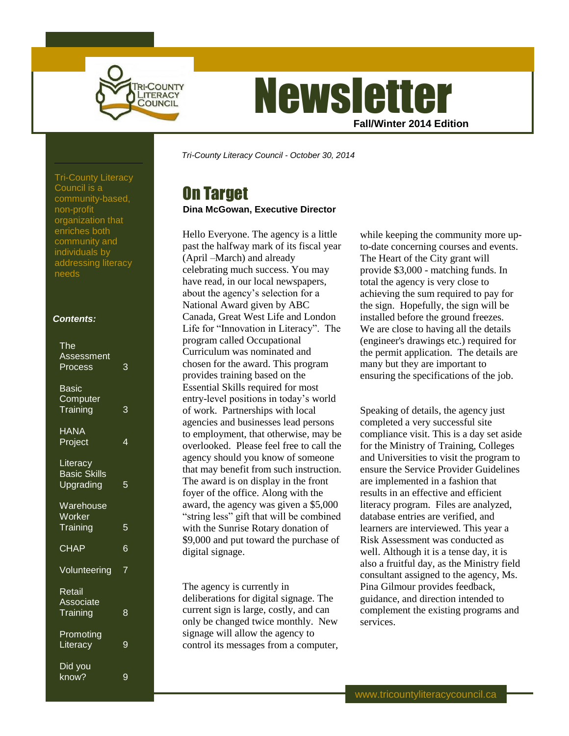

# **Newsletter Fall/Winter 2014 Edition**

*Tri-County Literacy Council - October 30, 2014*

# On Target

## **Dina McGowan, Executive Director**

Hello Everyone. The agency is a little past the halfway mark of its fiscal year (April –March) and already celebrating much success. You may have read, in our local newspapers, about the agency's selection for a National Award given by ABC Canada, Great West Life and London Life for "Innovation in Literacy". The program called Occupational Curriculum was nominated and chosen for the award. This program provides training based on the Essential Skills required for most entry-level positions in today's world of work. Partnerships with local agencies and businesses lead persons to employment, that otherwise, may be overlooked. Please feel free to call the agency should you know of someone that may benefit from such instruction. The award is on display in the front foyer of the office. Along with the award, the agency was given a \$5,000 "string less" gift that will be combined with the Sunrise Rotary donation of \$9,000 and put toward the purchase of digital signage.

The agency is currently in deliberations for digital signage. The current sign is large, costly, and can only be changed twice monthly. New signage will allow the agency to control its messages from a computer, while keeping the community more upto-date concerning courses and events. The Heart of the City grant will provide \$3,000 - matching funds. In total the agency is very close to achieving the sum required to pay for the sign. Hopefully, the sign will be installed before the ground freezes. We are close to having all the details (engineer's drawings etc.) required for the permit application. The details are many but they are important to ensuring the specifications of the job.

Speaking of details, the agency just completed a very successful site compliance visit. This is a day set aside for the Ministry of Training, Colleges and Universities to visit the program to ensure the Service Provider Guidelines are implemented in a fashion that results in an effective and efficient literacy program. Files are analyzed, database entries are verified, and learners are interviewed. This year a Risk Assessment was conducted as well. Although it is a tense day, it is also a fruitful day, as the Ministry field consultant assigned to the agency, Ms. Pina Gilmour provides feedback, guidance, and direction intended to complement the existing programs and services.

Tri-County Literacy Council is a community-based, non-profit organization that enriches both community and individuals by addressing literacy needs

### *Contents:*

| <b>The</b><br><b>Assessment</b><br>Process   | 3              |
|----------------------------------------------|----------------|
| <u>Basic</u><br><b>Computer</b><br>Training  | 3              |
| <b>HANA</b><br>Project                       | $\overline{4}$ |
| Literacy<br><b>Basic Skills</b><br>Upgrading | 5              |
| Warehouse<br>Worker<br>Training              | $\overline{5}$ |
| <b>CHAP</b>                                  | 6              |
| Volunteering                                 | $\overline{7}$ |
| Retail<br>Associate<br>Training              | 8              |
| <b>Promoting</b><br>Literacy                 | 9              |
| Did you<br>know?                             | 9              |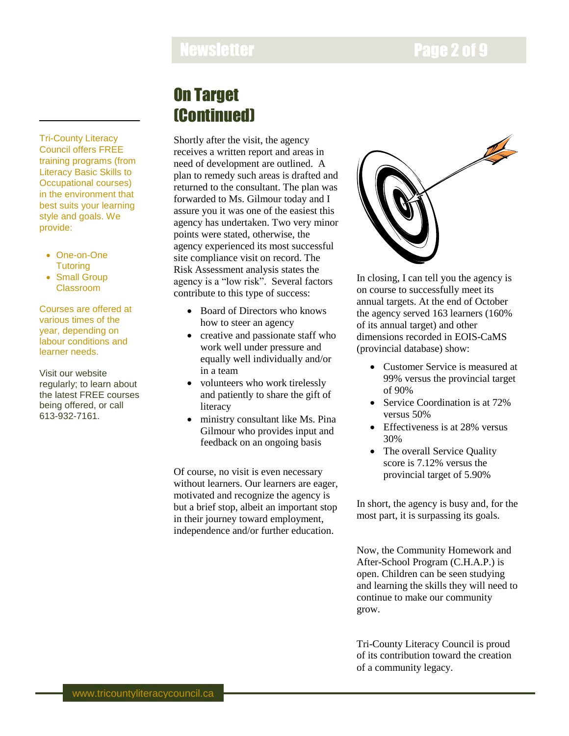# Newsletter **Newsletter Page 2 of 9**

# On Target (Continued)

Shortly after the visit, the agency receives a written report and areas in need of development are outlined. A plan to remedy such areas is drafted and returned to the consultant. The plan was forwarded to Ms. Gilmour today and I assure you it was one of the easiest this agency has undertaken. Two very minor points were stated, otherwise, the agency experienced its most successful site compliance visit on record. The Risk Assessment analysis states the agency is a "low risk". Several factors contribute to this type of success:

- Board of Directors who knows how to steer an agency
- creative and passionate staff who work well under pressure and equally well individually and/or in a team
- volunteers who work tirelessly and patiently to share the gift of literacy
- ministry consultant like Ms. Pina Gilmour who provides input and feedback on an ongoing basis

Of course, no visit is even necessary without learners. Our learners are eager, motivated and recognize the agency is but a brief stop, albeit an important stop in their journey toward employment, independence and/or further education.



In closing, I can tell you the agency is on course to successfully meet its annual targets. At the end of October the agency served 163 learners (160% of its annual target) and other dimensions recorded in EOIS-CaMS (provincial database) show:

- Customer Service is measured at 99% versus the provincial target of 90%
- Service Coordination is at 72% versus 50%
- Effectiveness is at 28% versus 30%
- The overall Service Quality score is 7.12% versus the provincial target of 5.90%

In short, the agency is busy and, for the most part, it is surpassing its goals.

Now, the Community Homework and After-School Program (C.H.A.P.) is open. Children can be seen studying and learning the skills they will need to continue to make our community grow.

Tri-County Literacy Council is proud of its contribution toward the creation of a community legacy.

Tri-County Literacy Council offers FREE training programs (from Literacy Basic Skills to Occupational courses) in the environment that best suits your learning style and goals. We provide:

- One-on-One **Tutoring**
- Small Group Classroom

Courses are offered at various times of the year, depending on labour conditions and learner needs.

Visit our website regularly; to learn about the latest FREE courses being offered, or call 613-932-7161.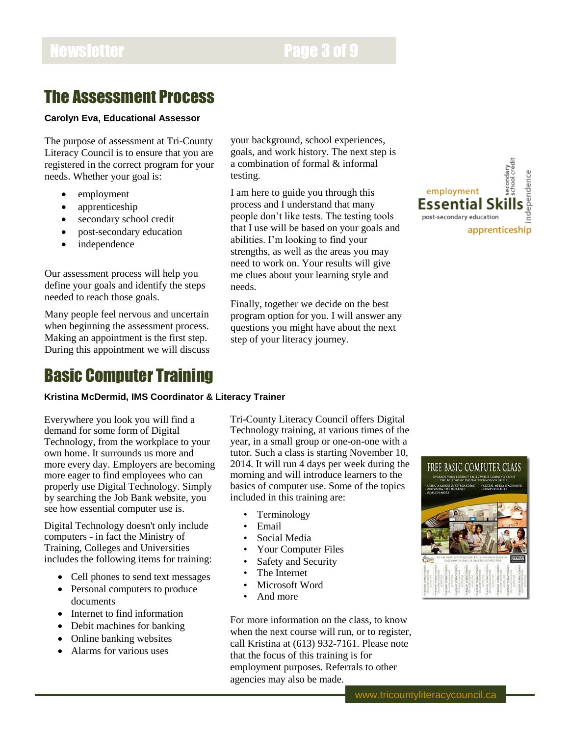# Newsletter **Page 3 of 9**

# The Assessment Process

### **Carolyn Eva, Educational Assessor**

The purpose of assessment at Tri-County Literacy Council is to ensure that you are registered in the correct program for your needs. Whether your goal is:

- employment
- apprenticeship
- secondary school credit
- post-secondary education
- independence

Our assessment process will help you define your goals and identify the steps needed to reach those goals.

Many people feel nervous and uncertain when beginning the assessment process. Making an appointment is the first step. During this appointment we will discuss

## Basic Computer Training

### **Kristina McDermid, IMS Coordinator & Literacy Trainer**

Everywhere you look you will find a demand for some form of Digital Technology, from the workplace to your own home. It surrounds us more and more every day. Employers are becoming more eager to find employees who can properly use Digital Technology. Simply by searching the Job Bank website, you see how essential computer use is.

Digital Technology doesn't only include computers - in fact the Ministry of Training, Colleges and Universities includes the following items for training:

- Cell phones to send text messages
- Personal computers to produce documents
- Internet to find information
- Debit machines for banking
- Online banking websites
- Alarms for various uses

your background, school experiences, goals, and work history. The next step is a combination of formal & informal testing.

I am here to guide you through this process and I understand that many people don't like tests. The testing tools that I use will be based on your goals and abilities. I'm looking to find your strengths, as well as the areas you may need to work on. Your results will give me clues about your learning style and needs.

Finally, together we decide on the best program option for you. I will answer any questions you might have about the next step of your literacy journey.



Tri-County Literacy Council offers Digital Technology training, at various times of the year, in a small group or one-on-one with a tutor. Such a class is starting November 10, 2014. It will run 4 days per week during the morning and will introduce learners to the basics of computer use. Some of the topics included in this training are:

- **Terminology**
- Email
- Social Media
- Your Computer Files
- Safety and Security
- The Internet
- Microsoft Word
- And more

For more information on the class, to know when the next course will run, or to register, call Kristina at (613) 932-7161. Please note that the focus of this training is for employment purposes. Referrals to other agencies may also be made.

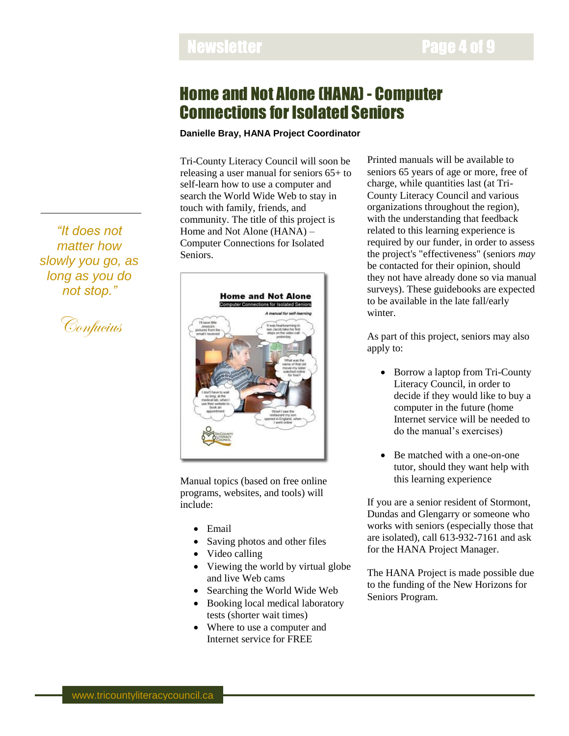## Home and Not Alone (HANA) - Computer Connections for Isolated Seniors

## **Danielle Bray, HANA Project Coordinator**

Tri-County Literacy Council will soon be releasing a user manual for seniors 65+ to self-learn how to use a computer and search the World Wide Web to stay in touch with family, friends, and community. The title of this project is Home and Not Alone (HANA) – Computer Connections for Isolated Seniors.



Manual topics (based on free online programs, websites, and tools) will include:

- Email
- Saving photos and other files
- Video calling
- Viewing the world by virtual globe and live Web cams
- Searching the World Wide Web
- Booking local medical laboratory tests (shorter wait times)
- Where to use a computer and Internet service for FREE

Printed manuals will be available to seniors 65 years of age or more, free of charge, while quantities last (at Tri-County Literacy Council and various organizations throughout the region), with the understanding that feedback related to this learning experience is required by our funder, in order to assess the project's "effectiveness" (seniors *may* be contacted for their opinion, should they not have already done so via manual surveys). These guidebooks are expected to be available in the late fall/early winter.

As part of this project, seniors may also apply to:

- Borrow a laptop from Tri-County Literacy Council, in order to decide if they would like to buy a computer in the future (home Internet service will be needed to do the manual's exercises)
- Be matched with a one-on-one tutor, should they want help with this learning experience

If you are a senior resident of Stormont, Dundas and Glengarry or someone who works with seniors (especially those that are isolated), call 613-932-7161 and ask for the HANA Project Manager.

The HANA Project is made possible due to the funding of the New Horizons for Seniors Program.

*"It does not matter how slowly you go, as long as you do not stop."*

Confucius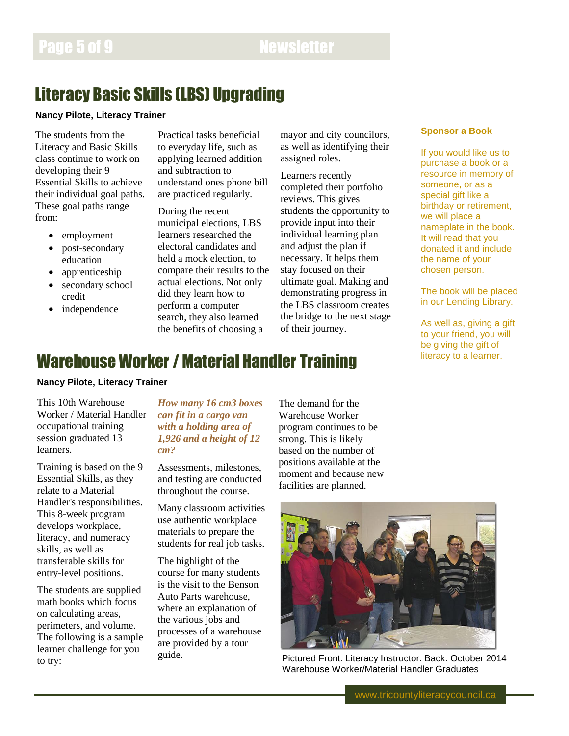# Literacy Basic Skills (LBS) Upgrading

### **Nancy Pilote, Literacy Trainer**

The students from the Literacy and Basic Skills class continue to work on developing their 9 Essential Skills to achieve their individual goal paths. These goal paths range from:

- employment
- post-secondary education
- apprenticeship
- secondary school credit
- independence

Practical tasks beneficial to everyday life, such as applying learned addition and subtraction to understand ones phone bill are practiced regularly.

During the recent municipal elections, LBS learners researched the electoral candidates and held a mock election, to compare their results to the actual elections. Not only did they learn how to perform a computer search, they also learned the benefits of choosing a

mayor and city councilors, as well as identifying their assigned roles.

Learners recently completed their portfolio reviews. This gives students the opportunity to provide input into their individual learning plan and adjust the plan if necessary. It helps them stay focused on their ultimate goal. Making and demonstrating progress in the LBS classroom creates the bridge to the next stage of their journey.

## **Sponsor a Book**

If you would like us to purchase a book or a resource in memory of someone, or as a special gift like a birthday or retirement, we will place a nameplate in the book. It will read that you donated it and include the name of your chosen person.

The book will be placed in our Lending Library.

As well as, giving a gift to your friend, you will be giving the gift of literacy to a learner.

# Warehouse Worker / Material Handler Training

### **Nancy Pilote, Literacy Trainer**

This 10th Warehouse Worker / Material Handler occupational training session graduated 13 learners.

Training is based on the 9 Essential Skills, as they relate to a Material Handler's responsibilities. This 8-week program develops workplace, literacy, and numeracy skills, as well as transferable skills for entry-level positions.

The students are supplied math books which focus on calculating areas, perimeters, and volume. The following is a sample learner challenge for you to try:

## *How many 16 cm3 boxes can fit in a cargo van with a holding area of 1,926 and a height of 12 cm?*

Assessments, milestones, and testing are conducted throughout the course.

Many classroom activities use authentic workplace materials to prepare the students for real job tasks.

The highlight of the course for many students is the visit to the Benson Auto Parts warehouse, where an explanation of the various jobs and processes of a warehouse are provided by a tour guide.

The demand for the Warehouse Worker program continues to be strong. This is likely based on the number of positions available at the moment and because new facilities are planned.



Pictured Front: Literacy Instructor. Back: October 2014 Warehouse Worker/Material Handler Graduates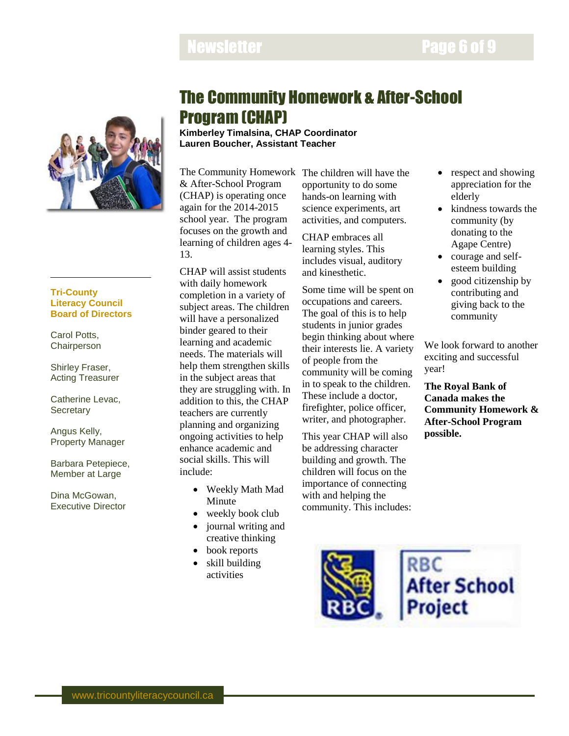# Newsletter **Newsletter Page 6 of 9**



### **Tri-County Literacy Council Board of Directors**

Carol Potts, **Chairperson** 

Shirley Fraser, Acting Treasurer

Catherine Levac, **Secretary** 

Angus Kelly, Property Manager

Barbara Petepiece, Member at Large

Dina McGowan, Executive Director

# The Community Homework & After-School Program (CHAP)

**Kimberley Timalsina, CHAP Coordinator Lauren Boucher, Assistant Teacher**

The Community Homework The children will have the & After-School Program (CHAP) is operating once again for the 2014-2015 school year. The program focuses on the growth and learning of children ages 4- 13.

CHAP will assist students with daily homework completion in a variety of subject areas. The children will have a personalized binder geared to their learning and academic needs. The materials will help them strengthen skills in the subject areas that they are struggling with. In addition to this, the CHAP teachers are currently planning and organizing ongoing activities to help enhance academic and social skills. This will include:

- Weekly Math Mad Minute
- weekly book club
- journal writing and creative thinking
- book reports
- skill building activities

opportunity to do some hands-on learning with science experiments, art activities, and computers.

CHAP embraces all learning styles. This includes visual, auditory and kinesthetic.

Some time will be spent on occupations and careers. The goal of this is to help students in junior grades begin thinking about where their interests lie. A variety of people from the community will be coming in to speak to the children. These include a doctor, firefighter, police officer, writer, and photographer.

This year CHAP will also be addressing character building and growth. The children will focus on the importance of connecting with and helping the community. This includes:

- respect and showing appreciation for the elderly
- kindness towards the community (by donating to the Agape Centre)
- courage and selfesteem building
- good citizenship by contributing and giving back to the community

We look forward to another exciting and successful year!

**The Royal Bank of Canada makes the Community Homework & After-School Program possible.**

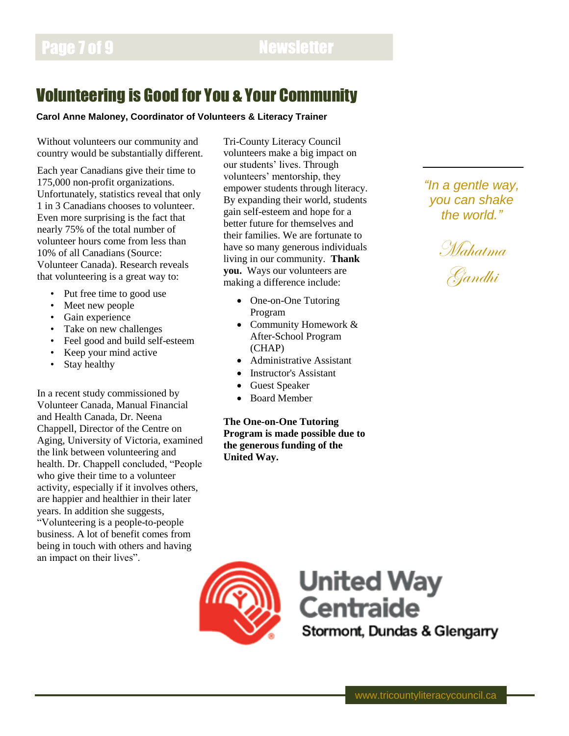# Volunteering is Good for You & Your Community

### **Carol Anne Maloney, Coordinator of Volunteers & Literacy Trainer**

Without volunteers our community and country would be substantially different.

Each year Canadians give their time to 175,000 non-profit organizations. Unfortunately, statistics reveal that only 1 in 3 Canadians chooses to volunteer. Even more surprising is the fact that nearly 75% of the total number of volunteer hours come from less than 10% of all Canadians (Source: Volunteer Canada). Research reveals that volunteering is a great way to:

- Put free time to good use
- Meet new people
- Gain experience
- Take on new challenges
- Feel good and build self-esteem
- Keep your mind active
- Stay healthy

In a recent study commissioned by Volunteer Canada, Manual Financial and Health Canada, Dr. Neena Chappell, Director of the Centre on Aging, University of Victoria, examined the link between volunteering and health. Dr. Chappell concluded, "People who give their time to a volunteer activity, especially if it involves others, are happier and healthier in their later years. In addition she suggests, "Volunteering is a people-to-people business. A lot of benefit comes from being in touch with others and having an impact on their lives".

Tri-County Literacy Council volunteers make a big impact on our students' lives. Through volunteers' mentorship, they empower students through literacy. By expanding their world, students gain self-esteem and hope for a better future for themselves and their families. We are fortunate to have so many generous individuals living in our community. **Thank you.** Ways our volunteers are making a difference include:

- One-on-One Tutoring Program
- Community Homework & After-School Program (CHAP)
- Administrative Assistant
- Instructor's Assistant
- Guest Speaker
- Board Member

**The One-on-One Tutoring Program is made possible due to the generous funding of the United Way.**

*"In a gentle way, you can shake the world."*





**United Way Centraide** Stormont, Dundas & Glengarry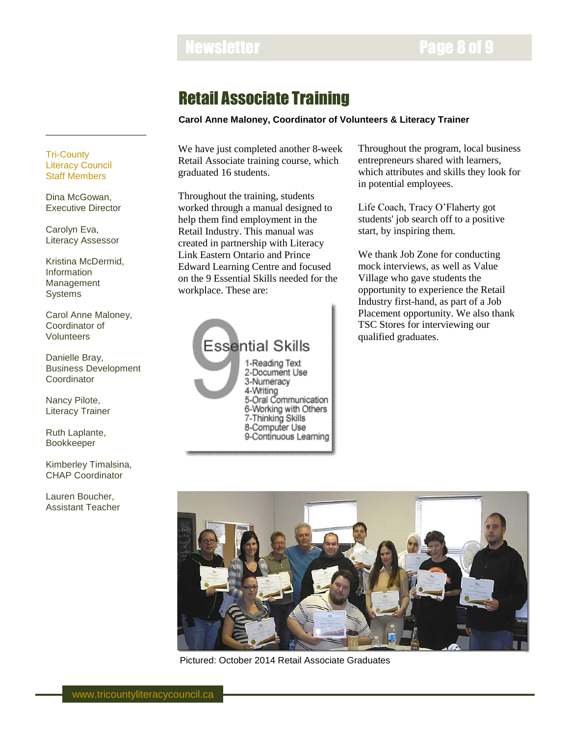# Newsletter **Page 8 of 9**

# Retail Associate Training

## **Carol Anne Maloney, Coordinator of Volunteers & Literacy Trainer**

We have just completed another 8-week Retail Associate training course, which graduated 16 students.

Throughout the training, students worked through a manual designed to help them find employment in the Retail Industry. This manual was created in partnership with Literacy Link Eastern Ontario and Prince Edward Learning Centre and focused on the 9 Essential Skills needed for the workplace. These are:



6-Working with Others 7-Thinking Skills 8-Computer Use 9-Continuous Learning Throughout the program, local business entrepreneurs shared with learners, which attributes and skills they look for in potential employees.

Life Coach, Tracy O'Flaherty got students' job search off to a positive start, by inspiring them.

We thank Job Zone for conducting mock interviews, as well as Value Village who gave students the opportunity to experience the Retail Industry first-hand, as part of a Job Placement opportunity. We also thank TSC Stores for interviewing our qualified graduates.

Ruth Laplante, Bookkeeper

Danielle Bray,

**Coordinator** 

Nancy Pilote, Literacy Trainer

Tri-County Literacy Council Staff Members

Dina McGowan, Executive Director

Carolyn Eva, Literacy Assessor

Information Management **Systems** 

Kristina McDermid,

Carol Anne Maloney, Coordinator of Volunteers

Business Development

Kimberley Timalsina, CHAP Coordinator

Lauren Boucher, Assistant Teacher



Pictured: October 2014 Retail Associate Graduates